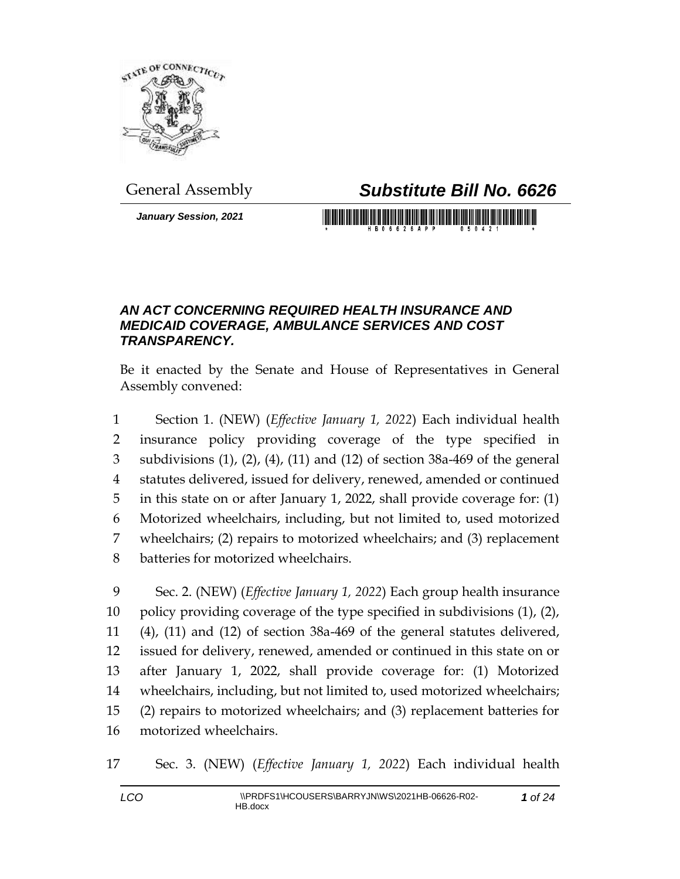

## General Assembly *Substitute Bill No. 6626*

*January Session, 2021*

## *AN ACT CONCERNING REQUIRED HEALTH INSURANCE AND MEDICAID COVERAGE, AMBULANCE SERVICES AND COST TRANSPARENCY.*

Be it enacted by the Senate and House of Representatives in General Assembly convened:

 Section 1. (NEW) (*Effective January 1, 2022*) Each individual health insurance policy providing coverage of the type specified in subdivisions (1), (2), (4), (11) and (12) of section 38a-469 of the general statutes delivered, issued for delivery, renewed, amended or continued in this state on or after January 1, 2022, shall provide coverage for: (1) Motorized wheelchairs, including, but not limited to, used motorized wheelchairs; (2) repairs to motorized wheelchairs; and (3) replacement batteries for motorized wheelchairs.

 Sec. 2. (NEW) (*Effective January 1, 2022*) Each group health insurance policy providing coverage of the type specified in subdivisions (1), (2), (4), (11) and (12) of section 38a-469 of the general statutes delivered, issued for delivery, renewed, amended or continued in this state on or after January 1, 2022, shall provide coverage for: (1) Motorized wheelchairs, including, but not limited to, used motorized wheelchairs; (2) repairs to motorized wheelchairs; and (3) replacement batteries for motorized wheelchairs.

Sec. 3. (NEW) (*Effective January 1, 2022*) Each individual health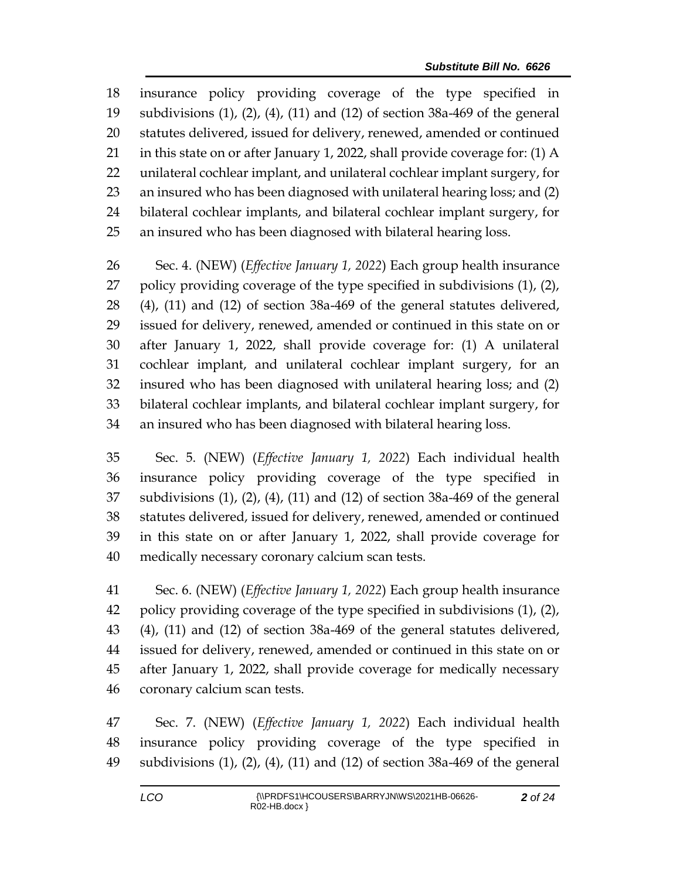insurance policy providing coverage of the type specified in subdivisions (1), (2), (4), (11) and (12) of section 38a-469 of the general statutes delivered, issued for delivery, renewed, amended or continued in this state on or after January 1, 2022, shall provide coverage for: (1) A unilateral cochlear implant, and unilateral cochlear implant surgery, for an insured who has been diagnosed with unilateral hearing loss; and (2) bilateral cochlear implants, and bilateral cochlear implant surgery, for an insured who has been diagnosed with bilateral hearing loss.

 Sec. 4. (NEW) (*Effective January 1, 2022*) Each group health insurance policy providing coverage of the type specified in subdivisions (1), (2), (4), (11) and (12) of section 38a-469 of the general statutes delivered, issued for delivery, renewed, amended or continued in this state on or after January 1, 2022, shall provide coverage for: (1) A unilateral cochlear implant, and unilateral cochlear implant surgery, for an insured who has been diagnosed with unilateral hearing loss; and (2) bilateral cochlear implants, and bilateral cochlear implant surgery, for an insured who has been diagnosed with bilateral hearing loss.

 Sec. 5. (NEW) (*Effective January 1, 2022*) Each individual health insurance policy providing coverage of the type specified in subdivisions (1), (2), (4), (11) and (12) of section 38a-469 of the general statutes delivered, issued for delivery, renewed, amended or continued in this state on or after January 1, 2022, shall provide coverage for medically necessary coronary calcium scan tests.

 Sec. 6. (NEW) (*Effective January 1, 2022*) Each group health insurance policy providing coverage of the type specified in subdivisions (1), (2), (4), (11) and (12) of section 38a-469 of the general statutes delivered, issued for delivery, renewed, amended or continued in this state on or after January 1, 2022, shall provide coverage for medically necessary coronary calcium scan tests.

 Sec. 7. (NEW) (*Effective January 1, 2022*) Each individual health insurance policy providing coverage of the type specified in subdivisions (1), (2), (4), (11) and (12) of section 38a-469 of the general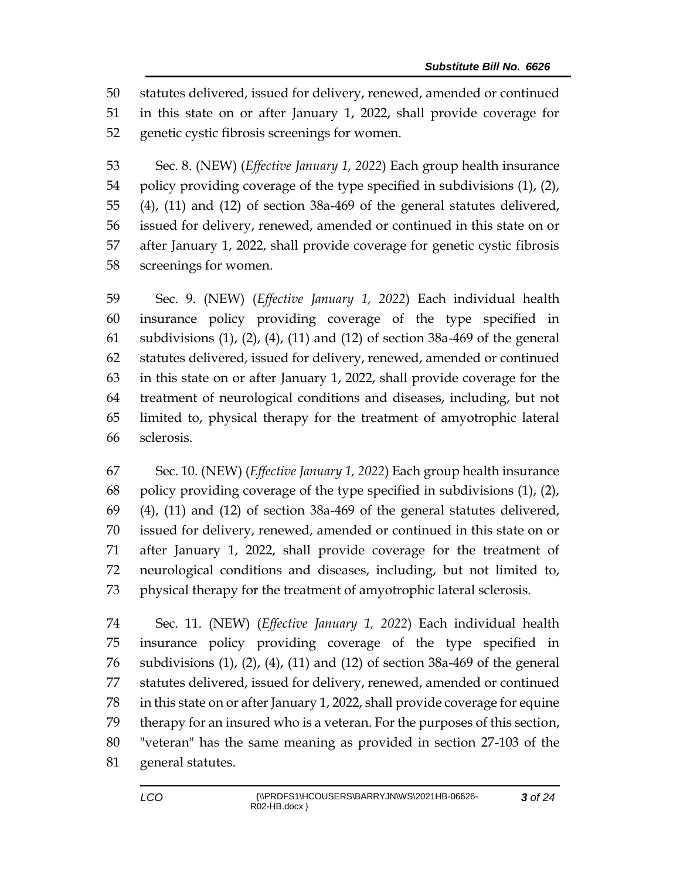statutes delivered, issued for delivery, renewed, amended or continued in this state on or after January 1, 2022, shall provide coverage for genetic cystic fibrosis screenings for women.

 Sec. 8. (NEW) (*Effective January 1, 2022*) Each group health insurance policy providing coverage of the type specified in subdivisions (1), (2), (4), (11) and (12) of section 38a-469 of the general statutes delivered, issued for delivery, renewed, amended or continued in this state on or after January 1, 2022, shall provide coverage for genetic cystic fibrosis screenings for women.

 Sec. 9. (NEW) (*Effective January 1, 2022*) Each individual health insurance policy providing coverage of the type specified in subdivisions (1), (2), (4), (11) and (12) of section 38a-469 of the general statutes delivered, issued for delivery, renewed, amended or continued in this state on or after January 1, 2022, shall provide coverage for the treatment of neurological conditions and diseases, including, but not limited to, physical therapy for the treatment of amyotrophic lateral sclerosis.

 Sec. 10. (NEW) (*Effective January 1, 2022*) Each group health insurance policy providing coverage of the type specified in subdivisions (1), (2), (4), (11) and (12) of section 38a-469 of the general statutes delivered, issued for delivery, renewed, amended or continued in this state on or after January 1, 2022, shall provide coverage for the treatment of neurological conditions and diseases, including, but not limited to, physical therapy for the treatment of amyotrophic lateral sclerosis.

 Sec. 11. (NEW) (*Effective January 1, 2022*) Each individual health insurance policy providing coverage of the type specified in subdivisions (1), (2), (4), (11) and (12) of section 38a-469 of the general statutes delivered, issued for delivery, renewed, amended or continued in this state on or after January 1, 2022, shall provide coverage for equine therapy for an insured who is a veteran. For the purposes of this section, "veteran" has the same meaning as provided in section 27-103 of the general statutes.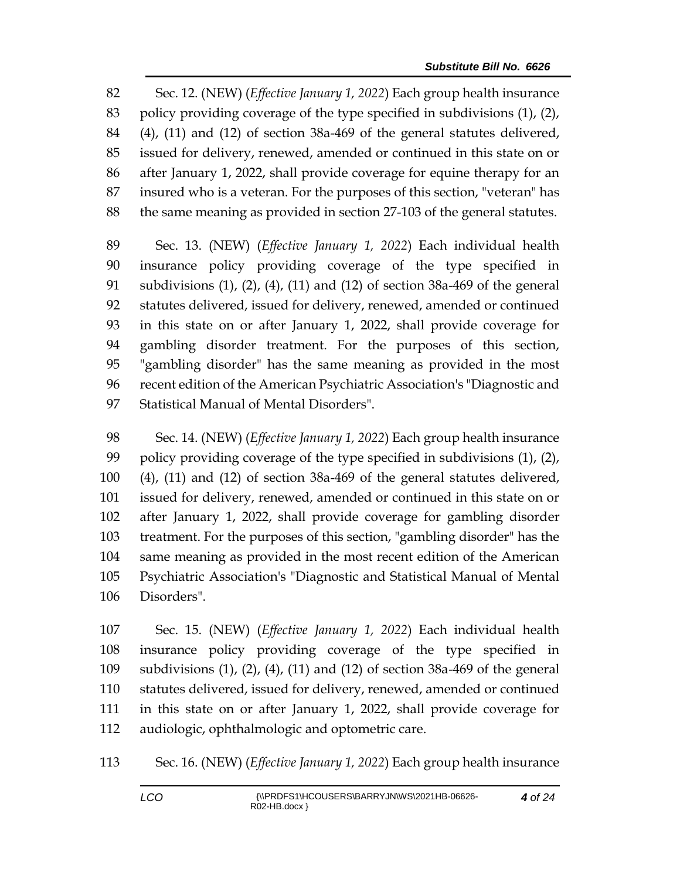Sec. 12. (NEW) (*Effective January 1, 2022*) Each group health insurance policy providing coverage of the type specified in subdivisions (1), (2), (4), (11) and (12) of section 38a-469 of the general statutes delivered, issued for delivery, renewed, amended or continued in this state on or after January 1, 2022, shall provide coverage for equine therapy for an insured who is a veteran. For the purposes of this section, "veteran" has the same meaning as provided in section 27-103 of the general statutes.

 Sec. 13. (NEW) (*Effective January 1, 2022*) Each individual health insurance policy providing coverage of the type specified in subdivisions (1), (2), (4), (11) and (12) of section 38a-469 of the general statutes delivered, issued for delivery, renewed, amended or continued in this state on or after January 1, 2022, shall provide coverage for gambling disorder treatment. For the purposes of this section, "gambling disorder" has the same meaning as provided in the most recent edition of the American Psychiatric Association's "Diagnostic and Statistical Manual of Mental Disorders".

 Sec. 14. (NEW) (*Effective January 1, 2022*) Each group health insurance policy providing coverage of the type specified in subdivisions (1), (2), (4), (11) and (12) of section 38a-469 of the general statutes delivered, issued for delivery, renewed, amended or continued in this state on or after January 1, 2022, shall provide coverage for gambling disorder treatment. For the purposes of this section, "gambling disorder" has the same meaning as provided in the most recent edition of the American Psychiatric Association's "Diagnostic and Statistical Manual of Mental Disorders".

 Sec. 15. (NEW) (*Effective January 1, 2022*) Each individual health insurance policy providing coverage of the type specified in subdivisions (1), (2), (4), (11) and (12) of section 38a-469 of the general statutes delivered, issued for delivery, renewed, amended or continued in this state on or after January 1, 2022, shall provide coverage for audiologic, ophthalmologic and optometric care.

Sec. 16. (NEW) (*Effective January 1, 2022*) Each group health insurance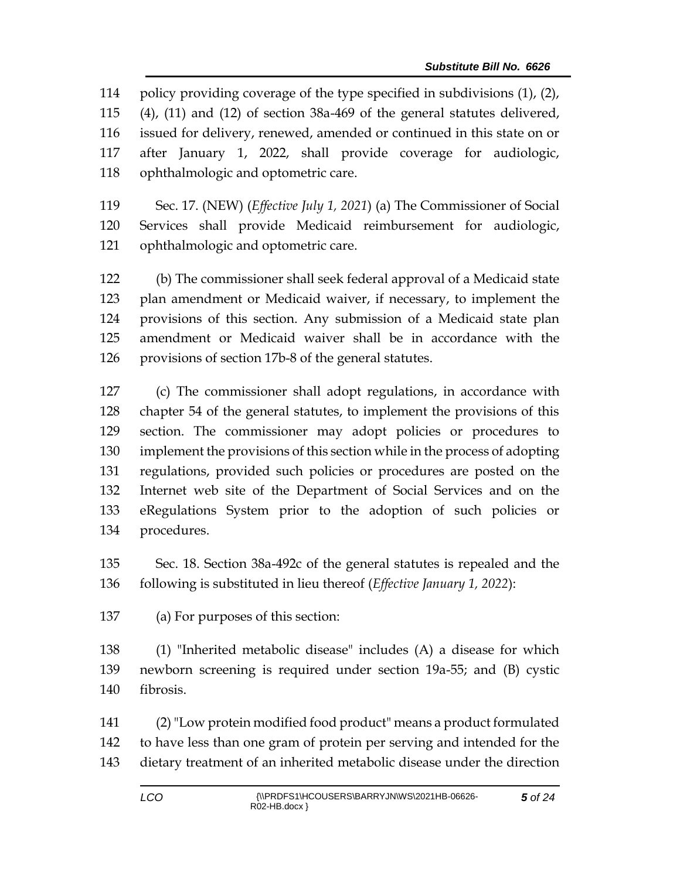policy providing coverage of the type specified in subdivisions (1), (2), (4), (11) and (12) of section 38a-469 of the general statutes delivered, issued for delivery, renewed, amended or continued in this state on or after January 1, 2022, shall provide coverage for audiologic, ophthalmologic and optometric care.

 Sec. 17. (NEW) (*Effective July 1, 2021*) (a) The Commissioner of Social Services shall provide Medicaid reimbursement for audiologic, ophthalmologic and optometric care.

 (b) The commissioner shall seek federal approval of a Medicaid state plan amendment or Medicaid waiver, if necessary, to implement the provisions of this section. Any submission of a Medicaid state plan amendment or Medicaid waiver shall be in accordance with the provisions of section 17b-8 of the general statutes.

 (c) The commissioner shall adopt regulations, in accordance with chapter 54 of the general statutes, to implement the provisions of this section. The commissioner may adopt policies or procedures to implement the provisions of this section while in the process of adopting regulations, provided such policies or procedures are posted on the Internet web site of the Department of Social Services and on the eRegulations System prior to the adoption of such policies or procedures.

 Sec. 18. Section 38a-492c of the general statutes is repealed and the following is substituted in lieu thereof (*Effective January 1, 2022*):

(a) For purposes of this section:

 (1) "Inherited metabolic disease" includes (A) a disease for which newborn screening is required under section 19a-55; and (B) cystic fibrosis.

 (2)"Low protein modified food product" means a product formulated to have less than one gram of protein per serving and intended for the dietary treatment of an inherited metabolic disease under the direction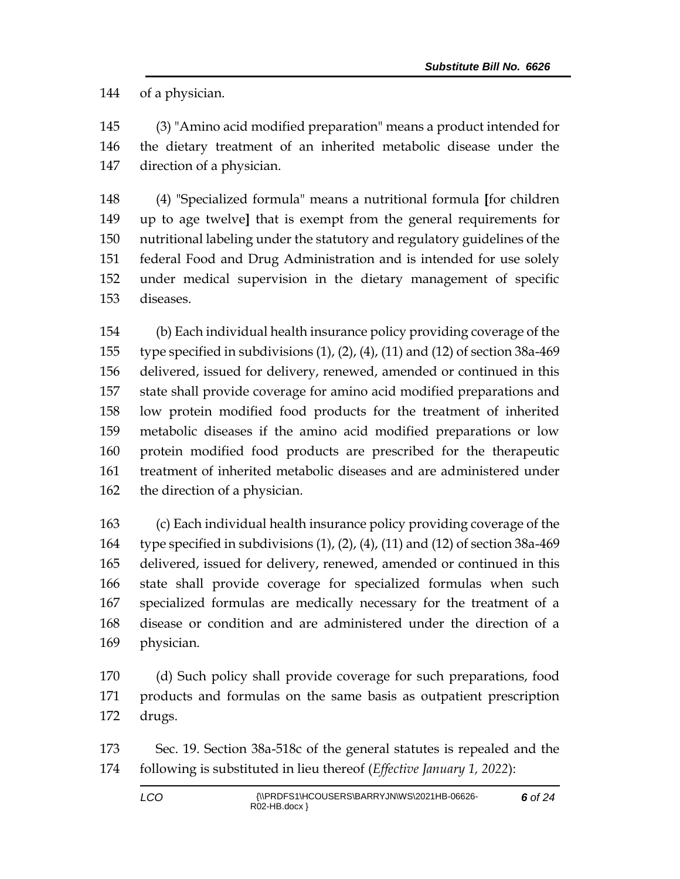of a physician.

 (3) "Amino acid modified preparation" means a product intended for the dietary treatment of an inherited metabolic disease under the direction of a physician.

 (4) "Specialized formula" means a nutritional formula **[**for children up to age twelve**]** that is exempt from the general requirements for nutritional labeling under the statutory and regulatory guidelines of the federal Food and Drug Administration and is intended for use solely under medical supervision in the dietary management of specific diseases.

 (b) Each individual health insurance policy providing coverage of the type specified in subdivisions (1), (2), (4), (11) and (12) of section 38a-469 delivered, issued for delivery, renewed, amended or continued in this state shall provide coverage for amino acid modified preparations and low protein modified food products for the treatment of inherited metabolic diseases if the amino acid modified preparations or low protein modified food products are prescribed for the therapeutic treatment of inherited metabolic diseases and are administered under the direction of a physician.

 (c) Each individual health insurance policy providing coverage of the type specified in subdivisions (1), (2), (4), (11) and (12) of section 38a-469 delivered, issued for delivery, renewed, amended or continued in this state shall provide coverage for specialized formulas when such specialized formulas are medically necessary for the treatment of a disease or condition and are administered under the direction of a physician.

 (d) Such policy shall provide coverage for such preparations, food products and formulas on the same basis as outpatient prescription drugs.

 Sec. 19. Section 38a-518c of the general statutes is repealed and the following is substituted in lieu thereof (*Effective January 1, 2022*):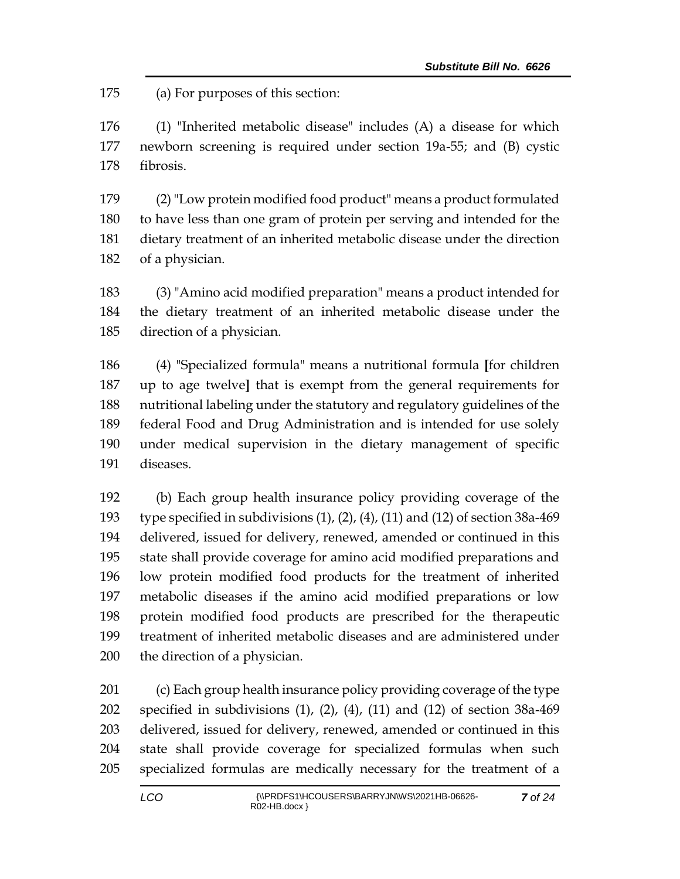(a) For purposes of this section:

 (1) "Inherited metabolic disease" includes (A) a disease for which newborn screening is required under section 19a-55; and (B) cystic fibrosis.

 (2)"Low protein modified food product" means a product formulated to have less than one gram of protein per serving and intended for the dietary treatment of an inherited metabolic disease under the direction of a physician.

 (3) "Amino acid modified preparation" means a product intended for the dietary treatment of an inherited metabolic disease under the direction of a physician.

 (4) "Specialized formula" means a nutritional formula **[**for children up to age twelve**]** that is exempt from the general requirements for nutritional labeling under the statutory and regulatory guidelines of the federal Food and Drug Administration and is intended for use solely under medical supervision in the dietary management of specific diseases.

 (b) Each group health insurance policy providing coverage of the type specified in subdivisions (1), (2), (4), (11) and (12) of section 38a-469 delivered, issued for delivery, renewed, amended or continued in this state shall provide coverage for amino acid modified preparations and low protein modified food products for the treatment of inherited metabolic diseases if the amino acid modified preparations or low protein modified food products are prescribed for the therapeutic treatment of inherited metabolic diseases and are administered under the direction of a physician.

 (c) Each group health insurance policy providing coverage of the type specified in subdivisions (1), (2), (4), (11) and (12) of section 38a-469 delivered, issued for delivery, renewed, amended or continued in this state shall provide coverage for specialized formulas when such specialized formulas are medically necessary for the treatment of a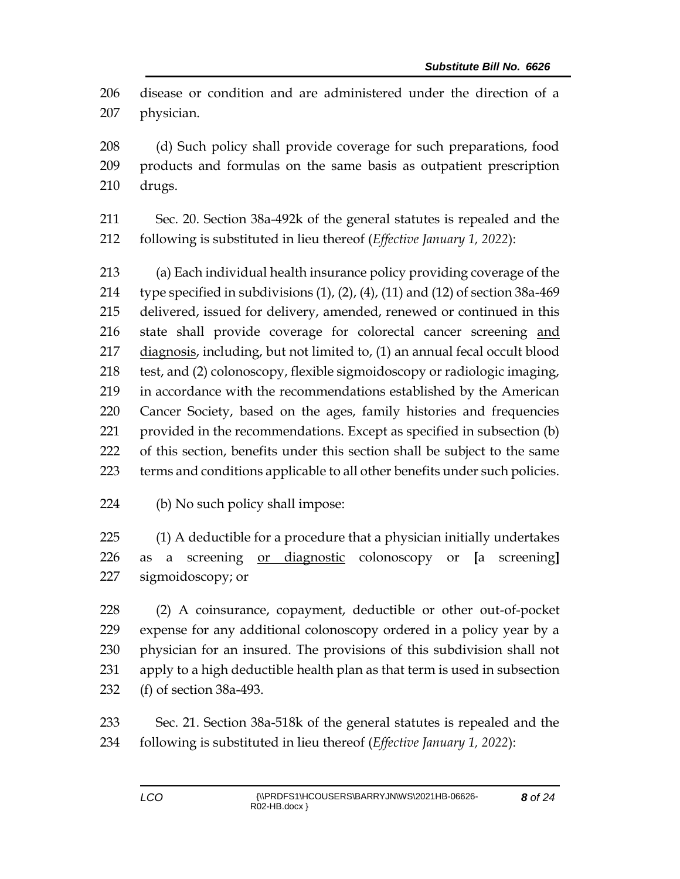disease or condition and are administered under the direction of a physician.

 (d) Such policy shall provide coverage for such preparations, food products and formulas on the same basis as outpatient prescription drugs.

 Sec. 20. Section 38a-492k of the general statutes is repealed and the following is substituted in lieu thereof (*Effective January 1, 2022*):

 (a) Each individual health insurance policy providing coverage of the 214 type specified in subdivisions  $(1)$ ,  $(2)$ ,  $(4)$ ,  $(11)$  and  $(12)$  of section 38a-469 delivered, issued for delivery, amended, renewed or continued in this state shall provide coverage for colorectal cancer screening and diagnosis, including, but not limited to, (1) an annual fecal occult blood test, and (2) colonoscopy, flexible sigmoidoscopy or radiologic imaging, in accordance with the recommendations established by the American Cancer Society, based on the ages, family histories and frequencies provided in the recommendations. Except as specified in subsection (b) of this section, benefits under this section shall be subject to the same terms and conditions applicable to all other benefits under such policies.

(b) No such policy shall impose:

 (1) A deductible for a procedure that a physician initially undertakes as a screening or diagnostic colonoscopy or **[**a screening**]** sigmoidoscopy; or

 (2) A coinsurance, copayment, deductible or other out-of-pocket expense for any additional colonoscopy ordered in a policy year by a physician for an insured. The provisions of this subdivision shall not apply to a high deductible health plan as that term is used in subsection (f) of section 38a-493.

 Sec. 21. Section 38a-518k of the general statutes is repealed and the following is substituted in lieu thereof (*Effective January 1, 2022*):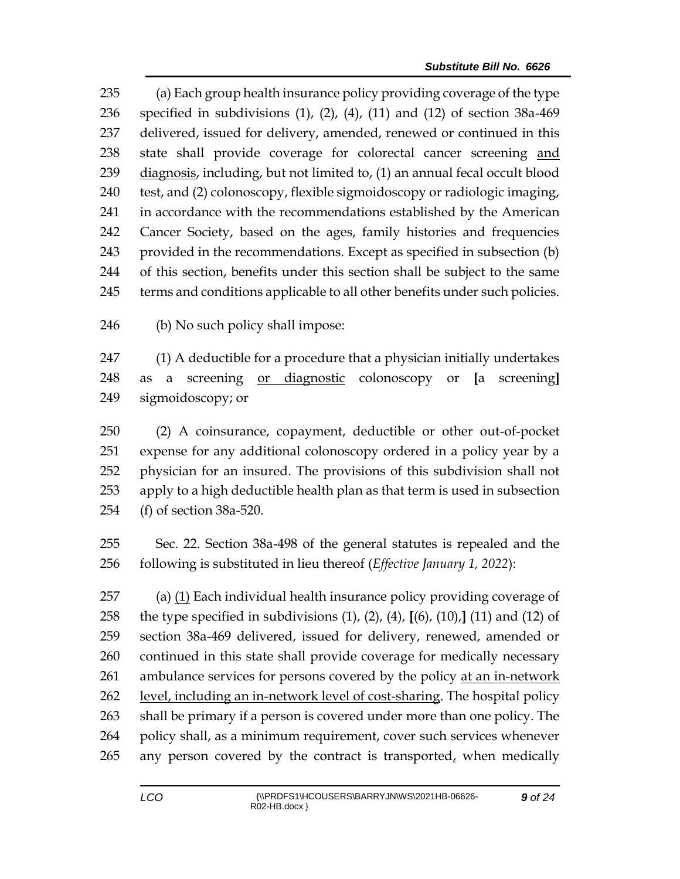(a) Each group health insurance policy providing coverage of the type specified in subdivisions (1), (2), (4), (11) and (12) of section 38a-469 delivered, issued for delivery, amended, renewed or continued in this state shall provide coverage for colorectal cancer screening and 239 diagnosis, including, but not limited to, (1) an annual fecal occult blood test, and (2) colonoscopy, flexible sigmoidoscopy or radiologic imaging, in accordance with the recommendations established by the American Cancer Society, based on the ages, family histories and frequencies provided in the recommendations. Except as specified in subsection (b) of this section, benefits under this section shall be subject to the same terms and conditions applicable to all other benefits under such policies.

(b) No such policy shall impose:

 (1) A deductible for a procedure that a physician initially undertakes as a screening or diagnostic colonoscopy or **[**a screening**]** sigmoidoscopy; or

 (2) A coinsurance, copayment, deductible or other out-of-pocket expense for any additional colonoscopy ordered in a policy year by a physician for an insured. The provisions of this subdivision shall not apply to a high deductible health plan as that term is used in subsection (f) of section 38a-520.

 Sec. 22. Section 38a-498 of the general statutes is repealed and the following is substituted in lieu thereof (*Effective January 1, 2022*):

 (a) (1) Each individual health insurance policy providing coverage of the type specified in subdivisions (1), (2), (4), **[**(6), (10),**]** (11) and (12) of section 38a-469 delivered, issued for delivery, renewed, amended or continued in this state shall provide coverage for medically necessary ambulance services for persons covered by the policy at an in-network level, including an in-network level of cost-sharing. The hospital policy shall be primary if a person is covered under more than one policy. The policy shall, as a minimum requirement, cover such services whenever 265 any person covered by the contract is transported, when medically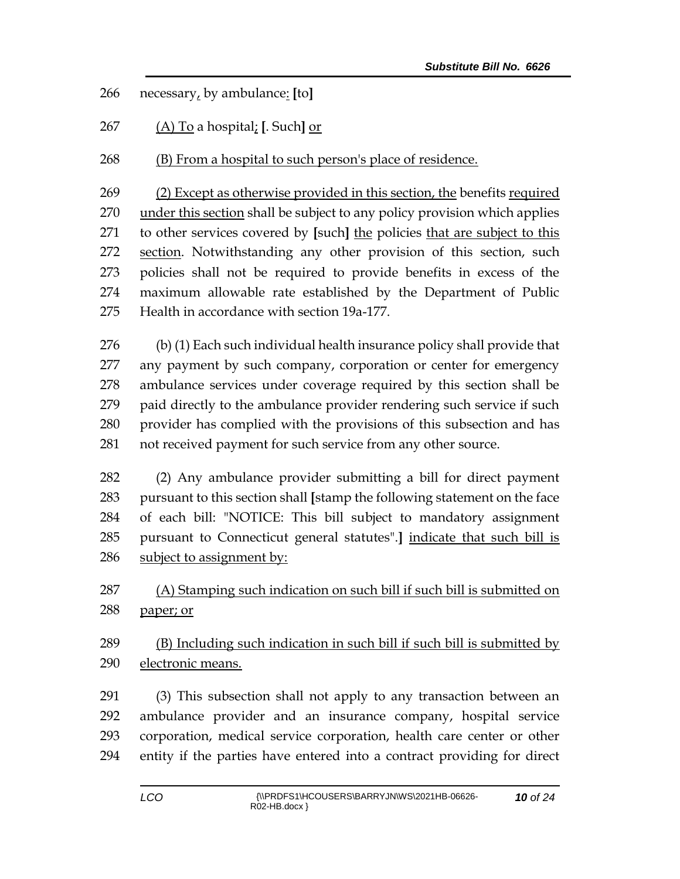necessary, by ambulance: **[**to**]**

(A) To a hospital; **[**. Such**]** or

(B) From a hospital to such person's place of residence.

 (2) Except as otherwise provided in this section, the benefits required 270 under this section shall be subject to any policy provision which applies to other services covered by **[**such**]** the policies that are subject to this section. Notwithstanding any other provision of this section, such policies shall not be required to provide benefits in excess of the maximum allowable rate established by the Department of Public Health in accordance with section 19a-177.

 (b) (1) Each such individual health insurance policy shall provide that any payment by such company, corporation or center for emergency ambulance services under coverage required by this section shall be paid directly to the ambulance provider rendering such service if such provider has complied with the provisions of this subsection and has not received payment for such service from any other source.

 (2) Any ambulance provider submitting a bill for direct payment pursuant to this section shall **[**stamp the following statement on the face of each bill: "NOTICE: This bill subject to mandatory assignment pursuant to Connecticut general statutes".**]** indicate that such bill is subject to assignment by:

 (A) Stamping such indication on such bill if such bill is submitted on paper; or

 (B) Including such indication in such bill if such bill is submitted by electronic means.

 (3) This subsection shall not apply to any transaction between an ambulance provider and an insurance company, hospital service corporation, medical service corporation, health care center or other entity if the parties have entered into a contract providing for direct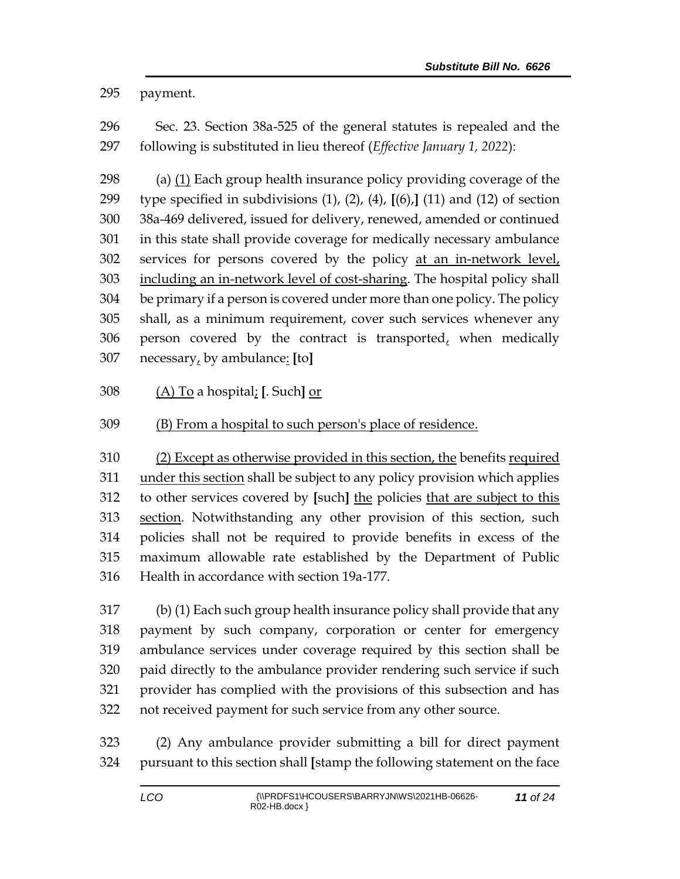payment.

 Sec. 23. Section 38a-525 of the general statutes is repealed and the following is substituted in lieu thereof (*Effective January 1, 2022*):

 (a) (1) Each group health insurance policy providing coverage of the type specified in subdivisions (1), (2), (4), **[**(6),**]** (11) and (12) of section 38a-469 delivered, issued for delivery, renewed, amended or continued in this state shall provide coverage for medically necessary ambulance services for persons covered by the policy at an in-network level, 303 including an in-network level of cost-sharing. The hospital policy shall be primary if a person is covered under more than one policy. The policy shall, as a minimum requirement, cover such services whenever any 306 person covered by the contract is transported $<sub>t</sub>$  when medically</sub> necessary, by ambulance: **[**to**]**

(A) To a hospital; **[**. Such**]** or

## (B) From a hospital to such person's place of residence.

 (2) Except as otherwise provided in this section, the benefits required under this section shall be subject to any policy provision which applies to other services covered by **[**such**]** the policies that are subject to this section. Notwithstanding any other provision of this section, such policies shall not be required to provide benefits in excess of the maximum allowable rate established by the Department of Public Health in accordance with section 19a-177.

 (b) (1) Each such group health insurance policy shall provide that any payment by such company, corporation or center for emergency ambulance services under coverage required by this section shall be paid directly to the ambulance provider rendering such service if such provider has complied with the provisions of this subsection and has not received payment for such service from any other source.

 (2) Any ambulance provider submitting a bill for direct payment pursuant to this section shall **[**stamp the following statement on the face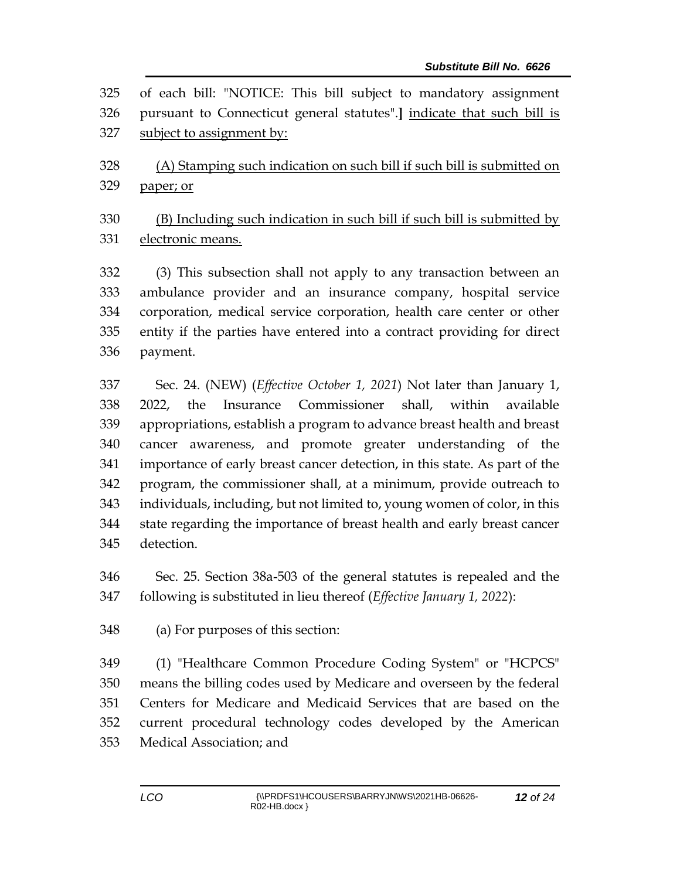| 325 | of each bill: "NOTICE: This bill subject to mandatory assignment              |
|-----|-------------------------------------------------------------------------------|
| 326 | pursuant to Connecticut general statutes".] indicate that such bill is        |
| 327 | subject to assignment by:                                                     |
| 328 | (A) Stamping such indication on such bill if such bill is submitted on        |
| 329 | paper; or                                                                     |
| 330 | (B) Including such indication in such bill if such bill is submitted by       |
| 331 | electronic means.                                                             |
| 332 | (3) This subsection shall not apply to any transaction between an             |
| 333 | ambulance provider and an insurance company, hospital service                 |
| 334 | corporation, medical service corporation, health care center or other         |
| 335 | entity if the parties have entered into a contract providing for direct       |
| 336 | payment.                                                                      |
| 337 | Sec. 24. (NEW) ( <i>Effective October 1</i> , 2021) Not later than January 1, |
| 338 | Insurance Commissioner shall, within available<br>the<br>2022,                |
| 339 | appropriations, establish a program to advance breast health and breast       |
| 340 | cancer awareness, and promote greater understanding of the                    |
| 341 | importance of early breast cancer detection, in this state. As part of the    |
| 342 | program, the commissioner shall, at a minimum, provide outreach to            |
| 343 | individuals, including, but not limited to, young women of color, in this     |
| 344 | state regarding the importance of breast health and early breast cancer       |
| 345 | detection.                                                                    |
| 346 | Sec. 25. Section 38a-503 of the general statutes is repealed and the          |
| 347 | following is substituted in lieu thereof (Effective January 1, 2022):         |
| 348 | (a) For purposes of this section:                                             |
| 349 | (1) "Healthcare Common Procedure Coding System" or "HCPCS"                    |
| 350 | means the billing codes used by Medicare and overseen by the federal          |
| 351 | Centers for Medicare and Medicaid Services that are based on the              |
| 352 | current procedural technology codes developed by the American                 |

Medical Association; and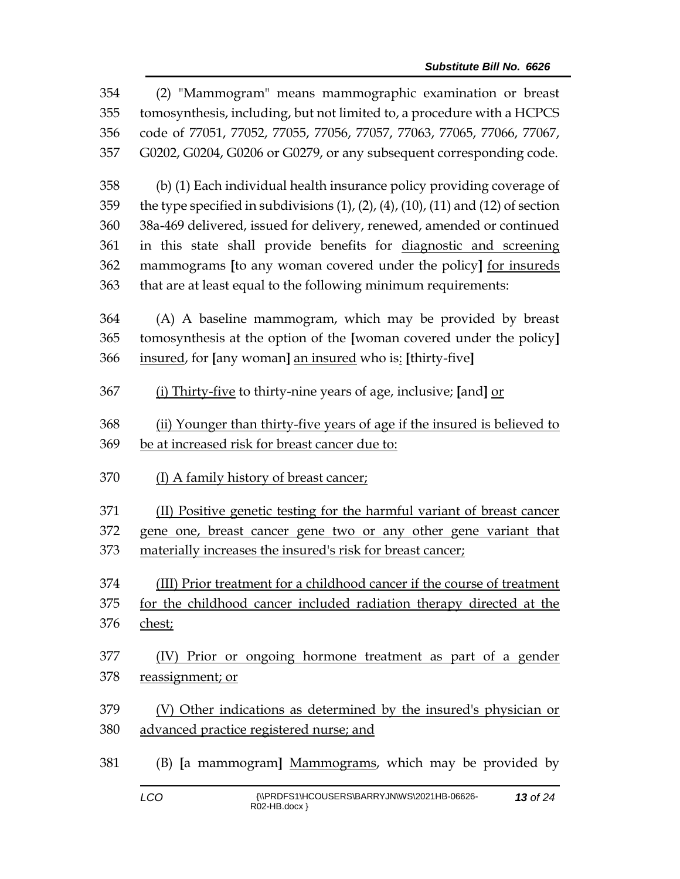| 354 | (2) "Mammogram" means mammographic examination or breast                                         |  |  |
|-----|--------------------------------------------------------------------------------------------------|--|--|
| 355 | tomosynthesis, including, but not limited to, a procedure with a HCPCS                           |  |  |
| 356 | code of 77051, 77052, 77055, 77056, 77057, 77063, 77065, 77066, 77067,                           |  |  |
| 357 | G0202, G0204, G0206 or G0279, or any subsequent corresponding code.                              |  |  |
| 358 | (b) (1) Each individual health insurance policy providing coverage of                            |  |  |
| 359 | the type specified in subdivisions $(1)$ , $(2)$ , $(4)$ , $(10)$ , $(11)$ and $(12)$ of section |  |  |
| 360 | 38a-469 delivered, issued for delivery, renewed, amended or continued                            |  |  |
| 361 | in this state shall provide benefits for diagnostic and screening                                |  |  |
| 362 | mammograms [to any woman covered under the policy] for insureds                                  |  |  |
| 363 | that are at least equal to the following minimum requirements:                                   |  |  |
| 364 | (A) A baseline mammogram, which may be provided by breast                                        |  |  |
| 365 | tomosynthesis at the option of the [woman covered under the policy]                              |  |  |
| 366 | insured, for [any woman] an insured who is: [thirty-five]                                        |  |  |
| 367 | (i) Thirty-five to thirty-nine years of age, inclusive; [and] or                                 |  |  |
| 368 | (ii) Younger than thirty-five years of age if the insured is believed to                         |  |  |
|     |                                                                                                  |  |  |
| 369 | be at increased risk for breast cancer due to:                                                   |  |  |
| 370 | (I) A family history of breast cancer;                                                           |  |  |
| 371 | (II) Positive genetic testing for the harmful variant of breast cancer                           |  |  |
| 372 | gene one, breast cancer gene two or any other gene variant that                                  |  |  |
| 373 | materially increases the insured's risk for breast cancer;                                       |  |  |
| 374 | (III) Prior treatment for a childhood cancer if the course of treatment                          |  |  |
| 375 | for the childhood cancer included radiation therapy directed at the                              |  |  |
| 376 | chest;                                                                                           |  |  |
| 377 | (IV) Prior or ongoing hormone treatment as part of a gender                                      |  |  |
| 378 | reassignment; or                                                                                 |  |  |
| 379 | (V) Other indications as determined by the insured's physician or                                |  |  |
| 380 | advanced practice registered nurse; and                                                          |  |  |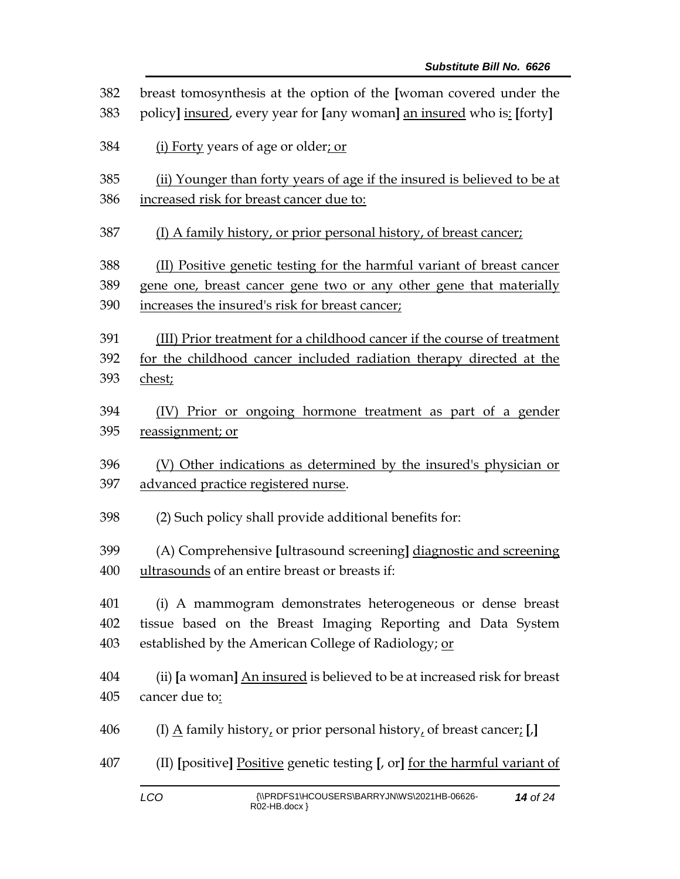| 382 | breast tomosynthesis at the option of the [woman covered under the                   |  |  |
|-----|--------------------------------------------------------------------------------------|--|--|
| 383 | policy] insured, every year for [any woman] an insured who is: [forty]               |  |  |
| 384 | (i) Forty years of age or older; or                                                  |  |  |
| 385 | (ii) Younger than forty years of age if the insured is believed to be at             |  |  |
| 386 | increased risk for breast cancer due to:                                             |  |  |
| 387 | (I) A family history, or prior personal history, of breast cancer;                   |  |  |
| 388 | (II) Positive genetic testing for the harmful variant of breast cancer               |  |  |
| 389 | gene one, breast cancer gene two or any other gene that materially                   |  |  |
| 390 | increases the insured's risk for breast cancer;                                      |  |  |
| 391 | (III) Prior treatment for a childhood cancer if the course of treatment              |  |  |
| 392 | for the childhood cancer included radiation therapy directed at the                  |  |  |
| 393 | chest;                                                                               |  |  |
| 394 | (IV) Prior or ongoing hormone treatment as part of a gender                          |  |  |
| 395 | reassignment; or                                                                     |  |  |
| 396 | (V) Other indications as determined by the insured's physician or                    |  |  |
| 397 | advanced practice registered nurse.                                                  |  |  |
| 398 | (2) Such policy shall provide additional benefits for:                               |  |  |
| 399 | (A) Comprehensive [ultrasound screening] diagnostic and screening                    |  |  |
| 400 | ultrasounds of an entire breast or breasts if:                                       |  |  |
| 401 | (i) A mammogram demonstrates heterogeneous or dense breast                           |  |  |
| 402 | tissue based on the Breast Imaging Reporting and Data System                         |  |  |
| 403 | established by the American College of Radiology; or                                 |  |  |
| 404 | (ii) [a woman] An insured is believed to be at increased risk for breast             |  |  |
| 405 | cancer due to:                                                                       |  |  |
| 406 | (I) $\underline{A}$ family history, or prior personal history, of breast cancer; [J] |  |  |
| 407 | (II) [positive] Positive genetic testing [, or] for the harmful variant of           |  |  |
|     | <b>MODDERANICOUREDRIDADDV INIMARIOOSALID OCCOC</b>                                   |  |  |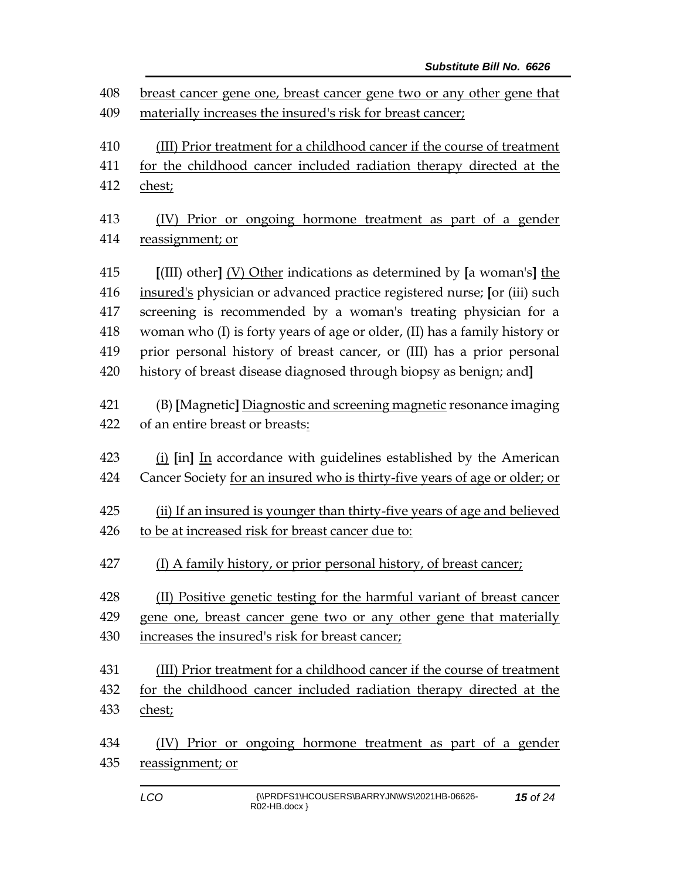| 408 | breast cancer gene one, breast cancer gene two or any other gene that      |  |  |
|-----|----------------------------------------------------------------------------|--|--|
| 409 | materially increases the insured's risk for breast cancer;                 |  |  |
| 410 | (III) Prior treatment for a childhood cancer if the course of treatment    |  |  |
| 411 | for the childhood cancer included radiation therapy directed at the        |  |  |
| 412 | chest;                                                                     |  |  |
| 413 | (IV) Prior or ongoing hormone treatment as part of a gender                |  |  |
| 414 | reassignment; or                                                           |  |  |
| 415 | $[$ (III) other] $(V)$ Other indications as determined by [a woman's] the  |  |  |
| 416 | insured's physician or advanced practice registered nurse; [or (iii) such  |  |  |
| 417 | screening is recommended by a woman's treating physician for a             |  |  |
| 418 | woman who (I) is forty years of age or older, (II) has a family history or |  |  |
| 419 | prior personal history of breast cancer, or (III) has a prior personal     |  |  |
| 420 | history of breast disease diagnosed through biopsy as benign; and]         |  |  |
| 421 | (B) [Magnetic] Diagnostic and screening magnetic resonance imaging         |  |  |
| 422 | of an entire breast or breasts:                                            |  |  |
| 423 | (i) [in] In accordance with guidelines established by the American         |  |  |
| 424 | Cancer Society for an insured who is thirty-five years of age or older; or |  |  |
| 425 | (ii) If an insured is younger than thirty-five years of age and believed   |  |  |
| 426 | to be at increased risk for breast cancer due to:                          |  |  |
| 427 | (I) A family history, or prior personal history, of breast cancer;         |  |  |
| 428 | (II) Positive genetic testing for the harmful variant of breast cancer     |  |  |
| 429 | gene one, breast cancer gene two or any other gene that materially         |  |  |
| 430 | increases the insured's risk for breast cancer;                            |  |  |
| 431 | (III) Prior treatment for a childhood cancer if the course of treatment    |  |  |
| 432 | for the childhood cancer included radiation therapy directed at the        |  |  |
| 433 | chest;                                                                     |  |  |
| 434 | Prior or ongoing hormone treatment as part of a gender<br>(IV)             |  |  |
| 435 | reassignment; or                                                           |  |  |
|     |                                                                            |  |  |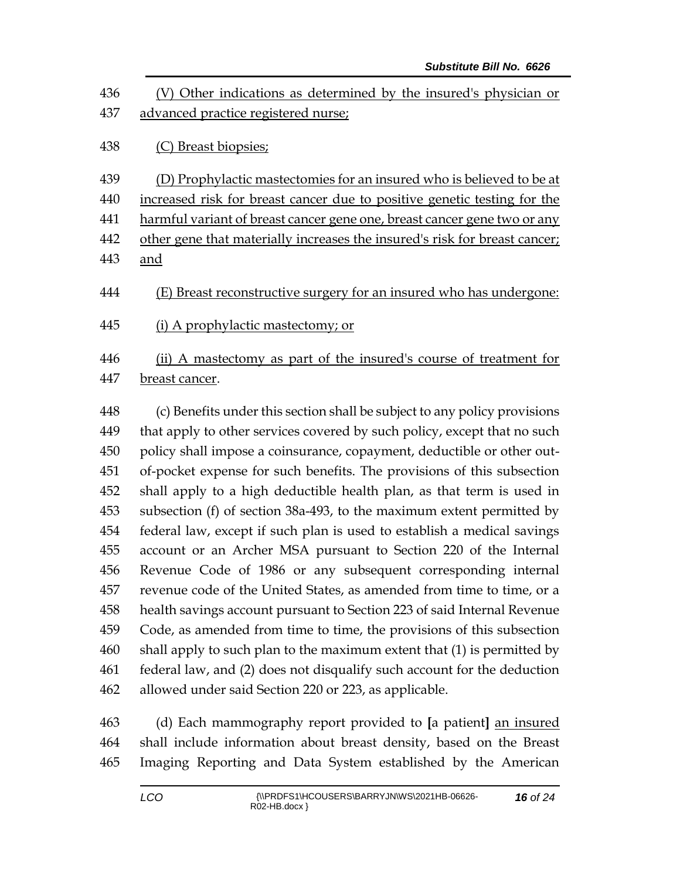| 436<br>437 | (V) Other indications as determined by the insured's physician or<br>advanced practice registered nurse; |
|------------|----------------------------------------------------------------------------------------------------------|
| 438        | (C) Breast biopsies;                                                                                     |
| 439        | (D) Prophylactic mastectomies for an insured who is believed to be at                                    |
| 440        | increased risk for breast cancer due to positive genetic testing for the                                 |
| 441        | harmful variant of breast cancer gene one, breast cancer gene two or any                                 |
| 442        | other gene that materially increases the insured's risk for breast cancer;                               |
| 443        | and                                                                                                      |
| 444        | (E) Breast reconstructive surgery for an insured who has undergone:                                      |
| 445        | (i) A prophylactic mastectomy; or                                                                        |
| 446<br>447 | (ii) A mastectomy as part of the insured's course of treatment for<br>breast cancer.                     |

 (c) Benefits under this section shall be subject to any policy provisions 449 that apply to other services covered by such policy, except that no such policy shall impose a coinsurance, copayment, deductible or other out- of-pocket expense for such benefits. The provisions of this subsection shall apply to a high deductible health plan, as that term is used in subsection (f) of section 38a-493, to the maximum extent permitted by federal law, except if such plan is used to establish a medical savings account or an Archer MSA pursuant to Section 220 of the Internal Revenue Code of 1986 or any subsequent corresponding internal revenue code of the United States, as amended from time to time, or a health savings account pursuant to Section 223 of said Internal Revenue Code, as amended from time to time, the provisions of this subsection shall apply to such plan to the maximum extent that (1) is permitted by federal law, and (2) does not disqualify such account for the deduction allowed under said Section 220 or 223, as applicable.

 (d) Each mammography report provided to **[**a patient**]** an insured shall include information about breast density, based on the Breast Imaging Reporting and Data System established by the American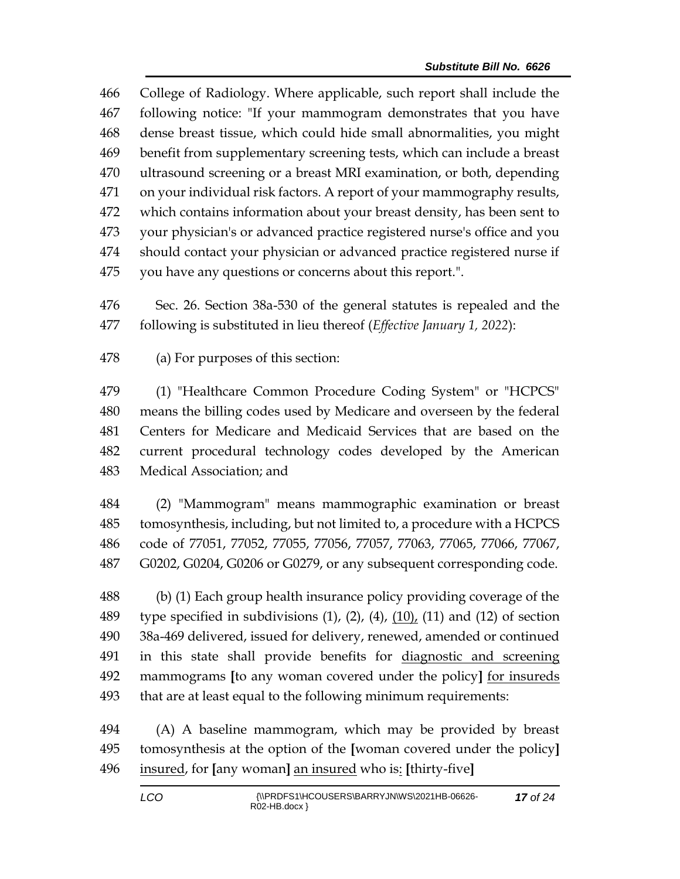College of Radiology. Where applicable, such report shall include the following notice: "If your mammogram demonstrates that you have dense breast tissue, which could hide small abnormalities, you might benefit from supplementary screening tests, which can include a breast ultrasound screening or a breast MRI examination, or both, depending on your individual risk factors. A report of your mammography results, which contains information about your breast density, has been sent to your physician's or advanced practice registered nurse's office and you should contact your physician or advanced practice registered nurse if you have any questions or concerns about this report.".

 Sec. 26. Section 38a-530 of the general statutes is repealed and the following is substituted in lieu thereof (*Effective January 1, 2022*):

(a) For purposes of this section:

 (1) "Healthcare Common Procedure Coding System" or "HCPCS" means the billing codes used by Medicare and overseen by the federal Centers for Medicare and Medicaid Services that are based on the current procedural technology codes developed by the American Medical Association; and

 (2) "Mammogram" means mammographic examination or breast tomosynthesis, including, but not limited to, a procedure with a HCPCS code of 77051, 77052, 77055, 77056, 77057, 77063, 77065, 77066, 77067, G0202, G0204, G0206 or G0279, or any subsequent corresponding code.

 (b) (1) Each group health insurance policy providing coverage of the 489 type specified in subdivisions  $(1)$ ,  $(2)$ ,  $(4)$ ,  $(10)$ ,  $(11)$  and  $(12)$  of section 38a-469 delivered, issued for delivery, renewed, amended or continued in this state shall provide benefits for diagnostic and screening mammograms **[**to any woman covered under the policy**]** for insureds that are at least equal to the following minimum requirements:

 (A) A baseline mammogram, which may be provided by breast tomosynthesis at the option of the **[**woman covered under the policy**]** insured, for **[**any woman**]** an insured who is: **[**thirty-five**]**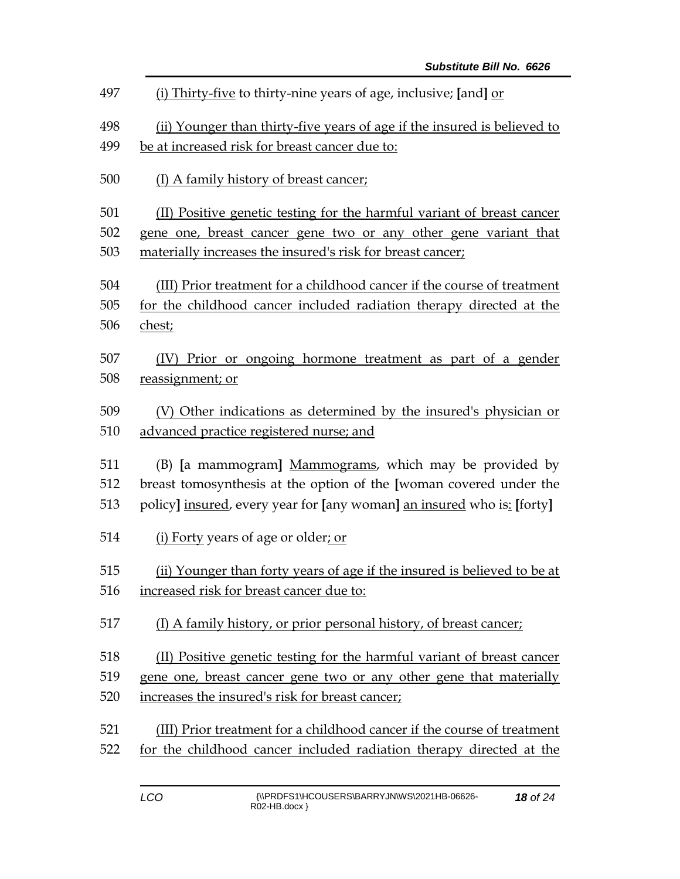| 497 | (i) Thirty-five to thirty-nine years of age, inclusive; [and] or         |  |  |
|-----|--------------------------------------------------------------------------|--|--|
| 498 | (ii) Younger than thirty-five years of age if the insured is believed to |  |  |
| 499 | be at increased risk for breast cancer due to:                           |  |  |
| 500 | (I) A family history of breast cancer;                                   |  |  |
| 501 | (II) Positive genetic testing for the harmful variant of breast cancer   |  |  |
| 502 | gene one, breast cancer gene two or any other gene variant that          |  |  |
| 503 | materially increases the insured's risk for breast cancer;               |  |  |
| 504 | (III) Prior treatment for a childhood cancer if the course of treatment  |  |  |
| 505 | for the childhood cancer included radiation therapy directed at the      |  |  |
| 506 | chest;                                                                   |  |  |
| 507 | (IV) Prior or ongoing hormone treatment as part of a gender              |  |  |
| 508 | reassignment; or                                                         |  |  |
| 509 | (V) Other indications as determined by the insured's physician or        |  |  |
| 510 | advanced practice registered nurse; and                                  |  |  |
| 511 | (B) [a mammogram] Mammograms, which may be provided by                   |  |  |
| 512 | breast tomosynthesis at the option of the [woman covered under the       |  |  |
| 513 | policy] insured, every year for [any woman] an insured who is: [forty]   |  |  |
| 514 | (i) Forty years of age or older; or                                      |  |  |
| 515 | (ii) Younger than forty years of age if the insured is believed to be at |  |  |
| 516 | increased risk for breast cancer due to:                                 |  |  |
| 517 | (I) A family history, or prior personal history, of breast cancer;       |  |  |
| 518 | (II) Positive genetic testing for the harmful variant of breast cancer   |  |  |
| 519 | gene one, breast cancer gene two or any other gene that materially       |  |  |
| 520 | increases the insured's risk for breast cancer;                          |  |  |
| 521 | (III) Prior treatment for a childhood cancer if the course of treatment  |  |  |
| 522 | for the childhood cancer included radiation therapy directed at the      |  |  |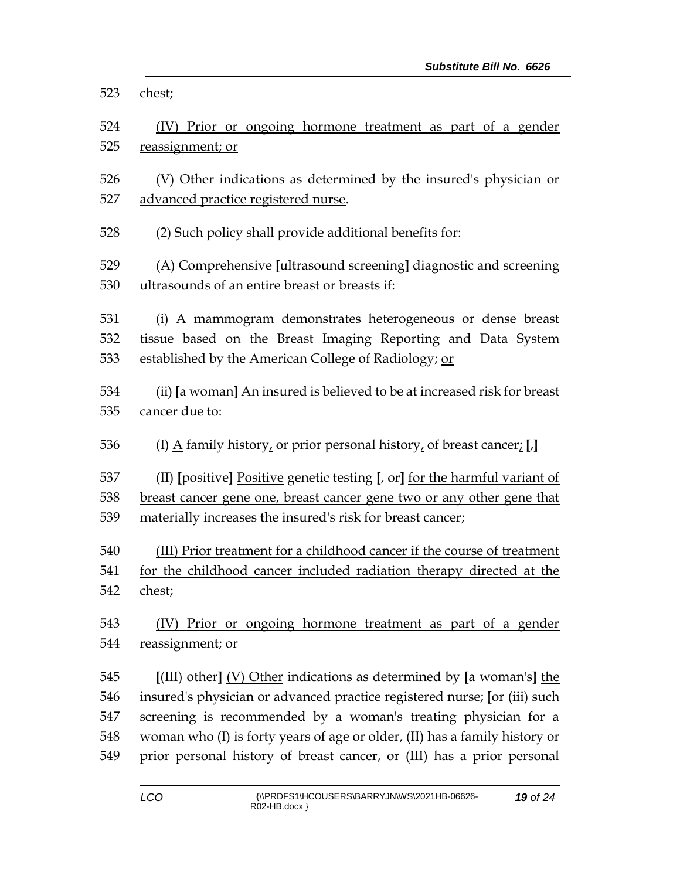| 523        | chest;                                                                                                                                                     |  |  |
|------------|------------------------------------------------------------------------------------------------------------------------------------------------------------|--|--|
| 524        | (IV) Prior or ongoing hormone treatment as part of a gender                                                                                                |  |  |
| 525        | reassignment; or                                                                                                                                           |  |  |
|            |                                                                                                                                                            |  |  |
| 526        | (V) Other indications as determined by the insured's physician or                                                                                          |  |  |
| 527        | advanced practice registered nurse.                                                                                                                        |  |  |
| 528        | (2) Such policy shall provide additional benefits for:                                                                                                     |  |  |
| 529        | (A) Comprehensive [ultrasound screening] diagnostic and screening                                                                                          |  |  |
| 530        | ultrasounds of an entire breast or breasts if:                                                                                                             |  |  |
|            |                                                                                                                                                            |  |  |
| 531        | (i) A mammogram demonstrates heterogeneous or dense breast                                                                                                 |  |  |
| 532        | tissue based on the Breast Imaging Reporting and Data System                                                                                               |  |  |
| 533        | established by the American College of Radiology; or                                                                                                       |  |  |
| 534        | (ii) [a woman] An insured is believed to be at increased risk for breast                                                                                   |  |  |
| 535        | cancer due to:                                                                                                                                             |  |  |
|            |                                                                                                                                                            |  |  |
| 536        | (I) $\underline{A}$ family history, or prior personal history, of breast cancer; [J]                                                                       |  |  |
| 537        |                                                                                                                                                            |  |  |
| 538        | (II) [positive] Positive genetic testing [, or] for the harmful variant of<br><u>breast cancer gene one, breast cancer gene two or any other gene that</u> |  |  |
| 539        | materially increases the insured's risk for breast cancer;                                                                                                 |  |  |
|            |                                                                                                                                                            |  |  |
| 540        | (III) Prior treatment for a childhood cancer if the course of treatment                                                                                    |  |  |
| 541        | for the childhood cancer included radiation therapy directed at the                                                                                        |  |  |
| 542        | chest;                                                                                                                                                     |  |  |
| 543        | Prior or ongoing hormone treatment as part of a gender<br>(IV)                                                                                             |  |  |
| 544        | reassignment; or                                                                                                                                           |  |  |
|            |                                                                                                                                                            |  |  |
| 545        | $[III]$ other] (V) Other indications as determined by [a woman's] the                                                                                      |  |  |
| 546        | insured's physician or advanced practice registered nurse; [or (iii) such                                                                                  |  |  |
| 547        | screening is recommended by a woman's treating physician for a                                                                                             |  |  |
| 548<br>549 | woman who (I) is forty years of age or older, (II) has a family history or<br>prior personal history of breast cancer, or (III) has a prior personal       |  |  |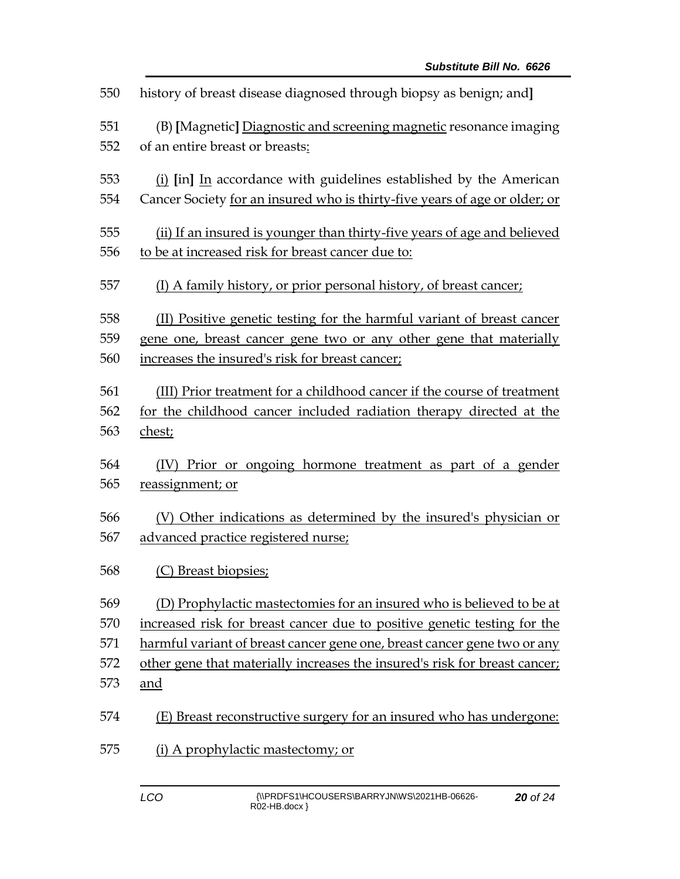| 550 | history of breast disease diagnosed through biopsy as benign; and]         |  |  |
|-----|----------------------------------------------------------------------------|--|--|
| 551 | (B) [Magnetic] Diagnostic and screening magnetic resonance imaging         |  |  |
| 552 | of an entire breast or breasts:                                            |  |  |
| 553 | (i) [in] In accordance with guidelines established by the American         |  |  |
| 554 | Cancer Society for an insured who is thirty-five years of age or older; or |  |  |
| 555 | (ii) If an insured is younger than thirty-five years of age and believed   |  |  |
| 556 | to be at increased risk for breast cancer due to:                          |  |  |
| 557 | (I) A family history, or prior personal history, of breast cancer;         |  |  |
| 558 | (II) Positive genetic testing for the harmful variant of breast cancer     |  |  |
| 559 | gene one, breast cancer gene two or any other gene that materially         |  |  |
| 560 | increases the insured's risk for breast cancer;                            |  |  |
| 561 | (III) Prior treatment for a childhood cancer if the course of treatment    |  |  |
| 562 | for the childhood cancer included radiation therapy directed at the        |  |  |
| 563 | chest;                                                                     |  |  |
| 564 | (IV) Prior or ongoing hormone treatment as part of a gender                |  |  |
| 565 | reassignment; or                                                           |  |  |
| 566 | (V) Other indications as determined by the insured's physician or          |  |  |
| 567 | advanced practice registered nurse;                                        |  |  |
| 568 | (C) Breast biopsies;                                                       |  |  |
| 569 | (D) Prophylactic mastectomies for an insured who is believed to be at      |  |  |
| 570 | increased risk for breast cancer due to positive genetic testing for the   |  |  |
| 571 | harmful variant of breast cancer gene one, breast cancer gene two or any   |  |  |
| 572 | other gene that materially increases the insured's risk for breast cancer; |  |  |
| 573 | and                                                                        |  |  |
| 574 | (E) Breast reconstructive surgery for an insured who has undergone:        |  |  |
| 575 | (i) A prophylactic mastectomy; or                                          |  |  |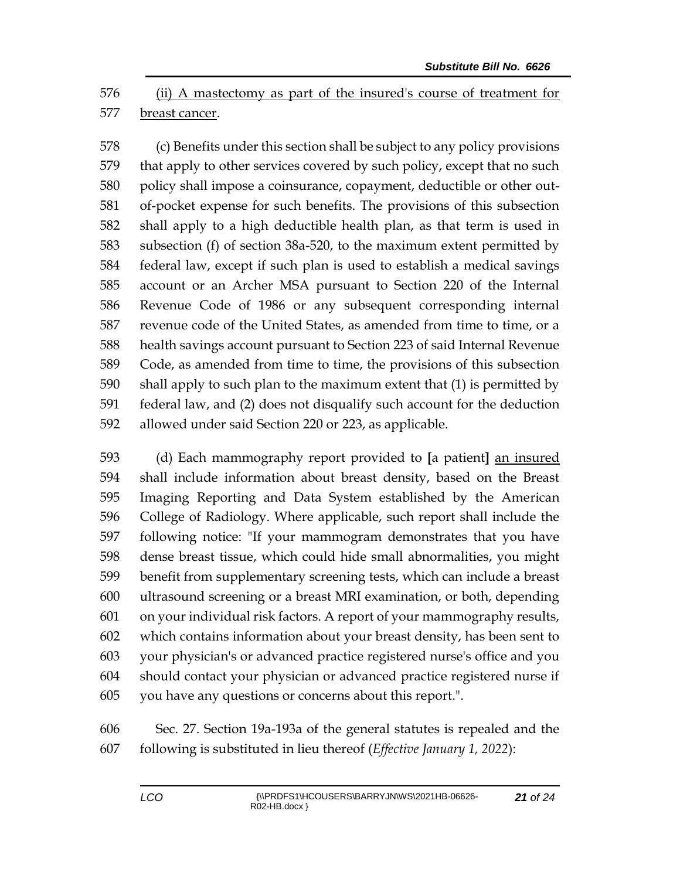(ii) A mastectomy as part of the insured's course of treatment for breast cancer.

 (c) Benefits under this section shall be subject to any policy provisions that apply to other services covered by such policy, except that no such policy shall impose a coinsurance, copayment, deductible or other out- of-pocket expense for such benefits. The provisions of this subsection shall apply to a high deductible health plan, as that term is used in subsection (f) of section 38a-520, to the maximum extent permitted by federal law, except if such plan is used to establish a medical savings account or an Archer MSA pursuant to Section 220 of the Internal Revenue Code of 1986 or any subsequent corresponding internal revenue code of the United States, as amended from time to time, or a health savings account pursuant to Section 223 of said Internal Revenue Code, as amended from time to time, the provisions of this subsection shall apply to such plan to the maximum extent that (1) is permitted by federal law, and (2) does not disqualify such account for the deduction allowed under said Section 220 or 223, as applicable.

 (d) Each mammography report provided to **[**a patient**]** an insured shall include information about breast density, based on the Breast Imaging Reporting and Data System established by the American College of Radiology. Where applicable, such report shall include the following notice: "If your mammogram demonstrates that you have dense breast tissue, which could hide small abnormalities, you might benefit from supplementary screening tests, which can include a breast ultrasound screening or a breast MRI examination, or both, depending on your individual risk factors. A report of your mammography results, which contains information about your breast density, has been sent to your physician's or advanced practice registered nurse's office and you should contact your physician or advanced practice registered nurse if you have any questions or concerns about this report.".

 Sec. 27. Section 19a-193a of the general statutes is repealed and the following is substituted in lieu thereof (*Effective January 1, 2022*):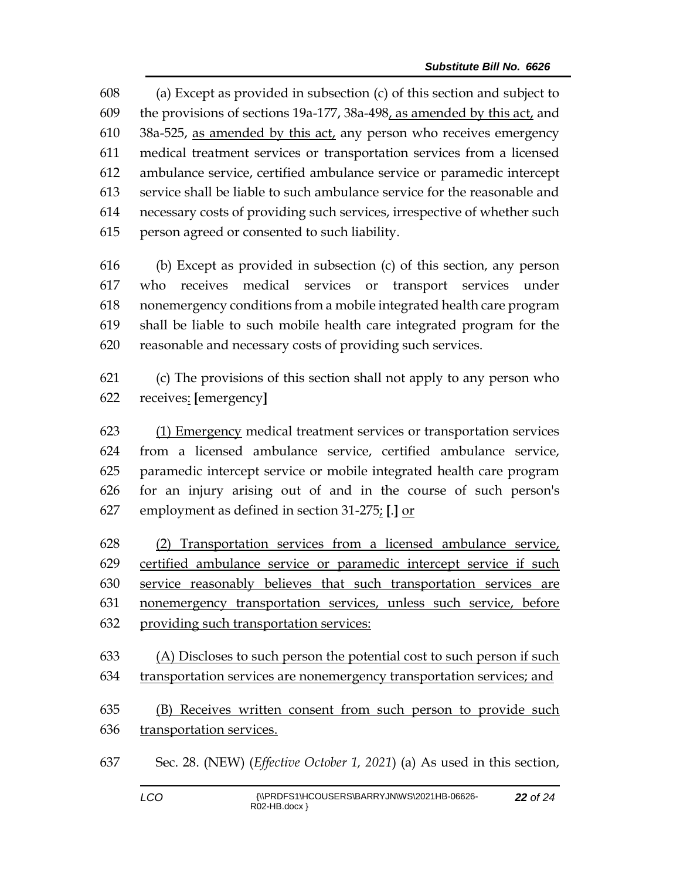(a) Except as provided in subsection (c) of this section and subject to the provisions of sections 19a-177, 38a-498, as amended by this act, and  $38a-525$ , as amended by this act, any person who receives emergency medical treatment services or transportation services from a licensed ambulance service, certified ambulance service or paramedic intercept service shall be liable to such ambulance service for the reasonable and necessary costs of providing such services, irrespective of whether such person agreed or consented to such liability.

 (b) Except as provided in subsection (c) of this section, any person who receives medical services or transport services under nonemergency conditions from a mobile integrated health care program shall be liable to such mobile health care integrated program for the reasonable and necessary costs of providing such services.

 (c) The provisions of this section shall not apply to any person who receives: **[**emergency**]**

 (1) Emergency medical treatment services or transportation services from a licensed ambulance service, certified ambulance service, paramedic intercept service or mobile integrated health care program for an injury arising out of and in the course of such person's employment as defined in section 31-275; **[**.**]** or

 (2) Transportation services from a licensed ambulance service, certified ambulance service or paramedic intercept service if such service reasonably believes that such transportation services are nonemergency transportation services, unless such service, before providing such transportation services:

 (A) Discloses to such person the potential cost to such person if such transportation services are nonemergency transportation services; and

 (B) Receives written consent from such person to provide such transportation services.

Sec. 28. (NEW) (*Effective October 1, 2021*) (a) As used in this section,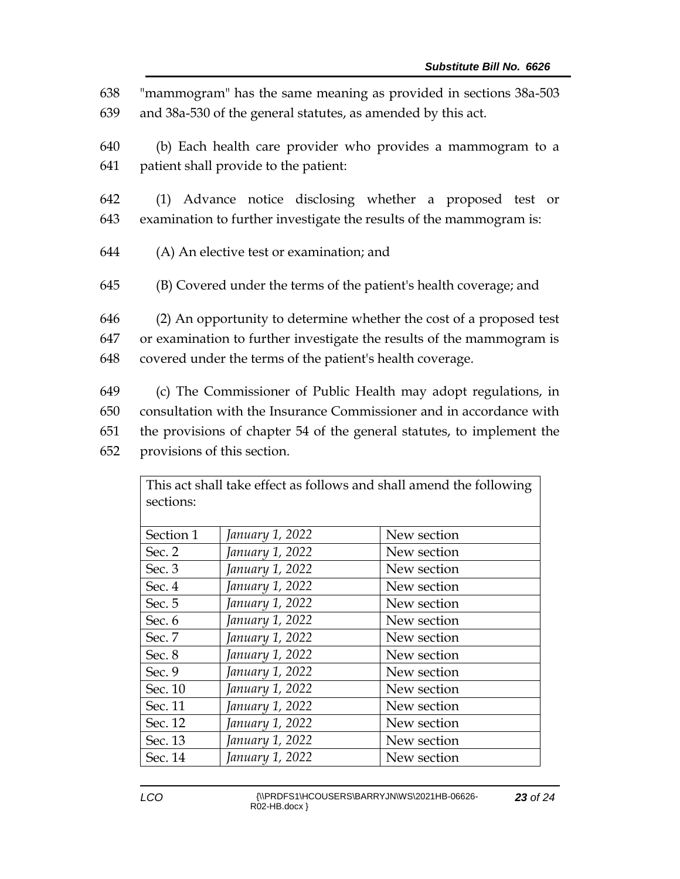"mammogram" has the same meaning as provided in sections 38a-503 and 38a-530 of the general statutes, as amended by this act. (b) Each health care provider who provides a mammogram to a patient shall provide to the patient: (1) Advance notice disclosing whether a proposed test or examination to further investigate the results of the mammogram is: (A) An elective test or examination; and (B) Covered under the terms of the patient's health coverage; and (2) An opportunity to determine whether the cost of a proposed test or examination to further investigate the results of the mammogram is covered under the terms of the patient's health coverage. (c) The Commissioner of Public Health may adopt regulations, in consultation with the Insurance Commissioner and in accordance with the provisions of chapter 54 of the general statutes, to implement the

652 provisions of this section.

| This act shall take effect as follows and shall amend the following |                 |             |
|---------------------------------------------------------------------|-----------------|-------------|
| sections:                                                           |                 |             |
|                                                                     |                 |             |
| Section 1                                                           | January 1, 2022 | New section |
| Sec. 2                                                              | January 1, 2022 | New section |
| Sec. 3                                                              | January 1, 2022 | New section |
| Sec. 4                                                              | January 1, 2022 | New section |
| Sec. 5                                                              | January 1, 2022 | New section |
| Sec. 6                                                              | January 1, 2022 | New section |
| Sec. 7                                                              | January 1, 2022 | New section |
| Sec. 8                                                              | January 1, 2022 | New section |
| Sec. 9                                                              | January 1, 2022 | New section |
| Sec. 10                                                             | January 1, 2022 | New section |
| Sec. 11                                                             | January 1, 2022 | New section |
| Sec. 12                                                             | January 1, 2022 | New section |
| Sec. 13                                                             | January 1, 2022 | New section |
| Sec. 14                                                             | January 1, 2022 | New section |